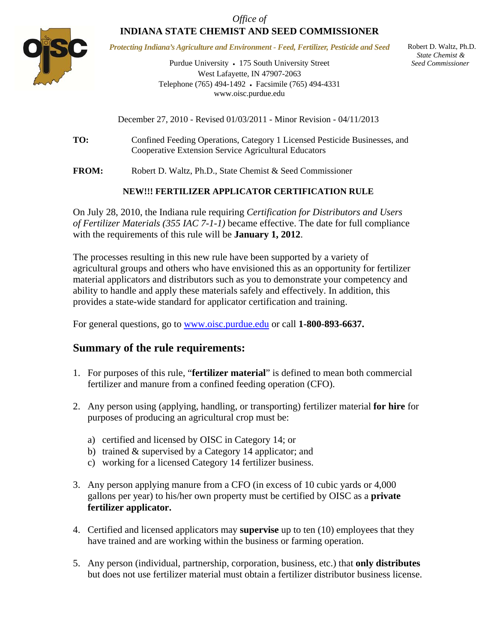

*Protecting Indiana's Agriculture and Environment - Feed, Fertilizer, Pesticide and Seed* 

Purdue University • 175 South University Street West Lafayette, IN 47907-2063 Telephone (765) 494-1492 Facsimile (765) 494-4331 www.oisc.purdue.edu

 Robert D. Waltz, Ph.D.  *State Chemist & Seed Commissioner*

December 27, 2010 - Revised 01/03/2011 - Minor Revision - 04/11/2013

**TO:** Confined Feeding Operations, Category 1 Licensed Pesticide Businesses, and Cooperative Extension Service Agricultural Educators

**FROM:** Robert D. Waltz, Ph.D., State Chemist & Seed Commissioner

# **NEW!!! FERTILIZER APPLICATOR CERTIFICATION RULE**

On July 28, 2010, the Indiana rule requiring *Certification for Distributors and Users of Fertilizer Materials (355 IAC 7-1-1)* became effective. The date for full compliance with the requirements of this rule will be **January 1, 2012**.

The processes resulting in this new rule have been supported by a variety of agricultural groups and others who have envisioned this as an opportunity for fertilizer material applicators and distributors such as you to demonstrate your competency and ability to handle and apply these materials safely and effectively. In addition, this provides a state-wide standard for applicator certification and training.

For general questions, go to www.oisc.purdue.edu or call **1-800-893-6637.** 

# **Summary of the rule requirements:**

- 1. For purposes of this rule, "**fertilizer material**" is defined to mean both commercial fertilizer and manure from a confined feeding operation (CFO).
- 2. Any person using (applying, handling, or transporting) fertilizer material **for hire** for purposes of producing an agricultural crop must be:
	- a) certified and licensed by OISC in Category 14; or
	- b) trained & supervised by a Category 14 applicator; and
	- c) working for a licensed Category 14 fertilizer business.
- 3. Any person applying manure from a CFO (in excess of 10 cubic yards or 4,000 gallons per year) to his/her own property must be certified by OISC as a **private fertilizer applicator.**
- 4. Certified and licensed applicators may **supervise** up to ten (10) employees that they have trained and are working within the business or farming operation.
- 5. Any person (individual, partnership, corporation, business, etc.) that **only distributes** but does not use fertilizer material must obtain a fertilizer distributor business license.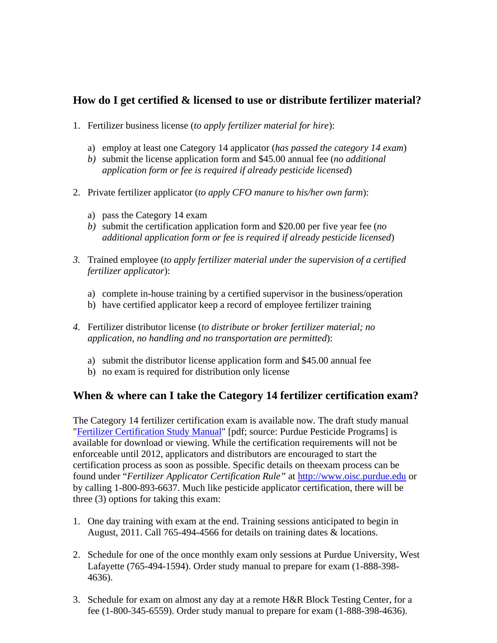# **How do I get certified & licensed to use or distribute fertilizer material?**

- 1. Fertilizer business license (*to apply fertilizer material for hire*):
	- a) employ at least one Category 14 applicator (*has passed the category 14 exam*)
	- *b)* submit the license application form and \$45.00 annual fee (*no additional application form or fee is required if already pesticide licensed*)
- 2. Private fertilizer applicator (*to apply CFO manure to his/her own farm*):
	- a) pass the Category 14 exam
	- *b)* submit the certification application form and \$20.00 per five year fee (*no additional application form or fee is required if already pesticide licensed*)
- *3.* Trained employee (*to apply fertilizer material under the supervision of a certified fertilizer applicator*):
	- a) complete in-house training by a certified supervisor in the business/operation
	- b) have certified applicator keep a record of employee fertilizer training
- *4.* Fertilizer distributor license (*to distribute or broker fertilizer material; no application, no handling and no transportation are permitted*):
	- a) submit the distributor license application form and \$45.00 annual fee
	- b) no exam is required for distribution only license

# **When & where can I take the Category 14 fertilizer certification exam?**

The Category 14 fertilizer certification exam is available now. The draft study manual ["Fertilizer Certification Study Manual"](http://www.ppp.purdue.edu/Category14.pdf) [pdf; source: Purdue Pesticide Programs] is available for download or viewing. While the certification requirements will not be enforceable until 2012, applicators and distributors are encouraged to start the certification process as soon as possible. Specific details on theexam process can be found under "*Fertilizer Applicator Certification Rule"* at http://www.oisc.purdue.edu or by calling 1-800-893-6637. Much like pesticide applicator certification, there will be three (3) options for taking this exam:

- 1. One day training with exam at the end. Training sessions anticipated to begin in August, 2011. Call 765-494-4566 for details on training dates & locations.
- 2. Schedule for one of the once monthly exam only sessions at Purdue University, West Lafayette (765-494-1594). Order study manual to prepare for exam (1-888-398- 4636).
- 3. Schedule for exam on almost any day at a remote H&R Block Testing Center, for a fee (1-800-345-6559). Order study manual to prepare for exam (1-888-398-4636).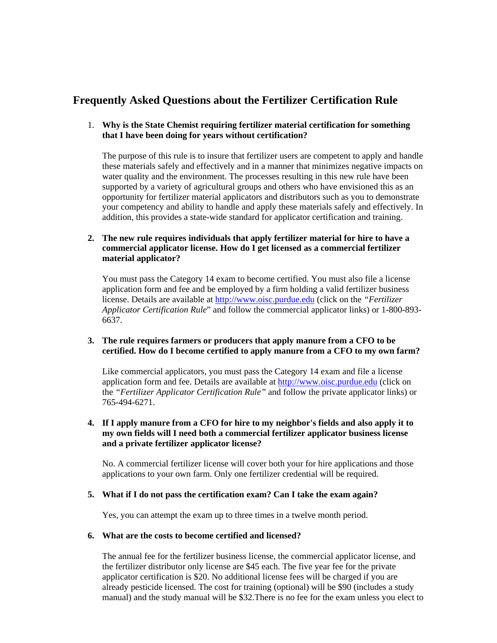# **Frequently Asked Questions about the Fertilizer Certification Rule**

# 1. **Why is the State Chemist requiring fertilizer material certification for something that I have been doing for years without certification?**

The purpose of this rule is to insure that fertilizer users are competent to apply and handle these materials safely and effectively and in a manner that minimizes negative impacts on water quality and the environment*.* The processes resulting in this new rule have been supported by a variety of agricultural groups and others who have envisioned this as an opportunity for fertilizer material applicators and distributors such as you to demonstrate your competency and ability to handle and apply these materials safely and effectively. In addition, this provides a state-wide standard for applicator certification and training.

# **2. The new rule requires individuals that apply fertilizer material for hire to have a commercial applicator license. How do I get licensed as a commercial fertilizer material applicator?**

 You must pass the Category 14 exam to become certified. You must also file a license application form and fee and be employed by a firm holding a valid fertilizer business license. Details are available at http://www.oisc.purdue.edu (click on the *"Fertilizer Applicator Certification Rule*" and follow the commercial applicator links) or 1-800-893- 6637.

# **3. The rule requires farmers or producers that apply manure from a CFO to be certified. How do I become certified to apply manure from a CFO to my own farm?**

 Like commercial applicators, you must pass the Category 14 exam and file a license application form and fee. Details are available at http://www.oisc.purdue.edu (click on the *"Fertilizer Applicator Certification Rule"* and follow the private applicator links) or 765-494-6271.

# **4. If I apply manure from a CFO for hire to my neighbor's fields and also apply it to my own fields will I need both a commercial fertilizer applicator business license and a private fertilizer applicator license?**

 No. A commercial fertilizer license will cover both your for hire applications and those applications to your own farm. Only one fertilizer credential will be required.

# **5. What if I do not pass the certification exam? Can I take the exam again?**

Yes, you can attempt the exam up to three times in a twelve month period.

#### **6. What are the costs to become certified and licensed?**

 The annual fee for the fertilizer business license, the commercial applicator license, and the fertilizer distributor only license are \$45 each. The five year fee for the private applicator certification is \$20. No additional license fees will be charged if you are already pesticide licensed. The cost for training (optional) will be \$90 (includes a study manual) and the study manual will be \$32.There is no fee for the exam unless you elect to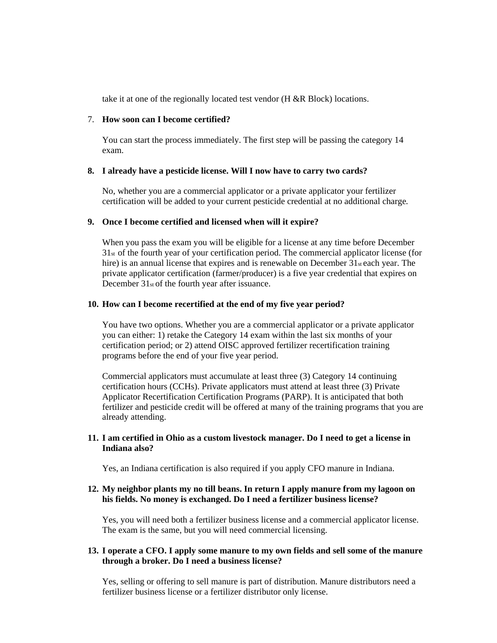take it at one of the regionally located test vendor (H &R Block) locations.

#### 7. **How soon can I become certified?**

You can start the process immediately. The first step will be passing the category 14 exam.

#### **8. I already have a pesticide license. Will I now have to carry two cards?**

 No, whether you are a commercial applicator or a private applicator your fertilizer certification will be added to your current pesticide credential at no additional charge*.* 

#### **9. Once I become certified and licensed when will it expire?**

 When you pass the exam you will be eligible for a license at any time before December 31st of the fourth year of your certification period. The commercial applicator license (for hire) is an annual license that expires and is renewable on December 31st each year. The private applicator certification (farmer/producer) is a five year credential that expires on December 31st of the fourth year after issuance.

#### **10. How can I become recertified at the end of my five year period?**

 You have two options. Whether you are a commercial applicator or a private applicator you can either: 1) retake the Category 14 exam within the last six months of your certification period; or 2) attend OISC approved fertilizer recertification training programs before the end of your five year period.

 Commercial applicators must accumulate at least three (3) Category 14 continuing certification hours (CCHs). Private applicators must attend at least three (3) Private Applicator Recertification Certification Programs (PARP). It is anticipated that both fertilizer and pesticide credit will be offered at many of the training programs that you are already attending.

# **11. I am certified in Ohio as a custom livestock manager. Do I need to get a license in Indiana also?**

Yes, an Indiana certification is also required if you apply CFO manure in Indiana.

# **12. My neighbor plants my no till beans. In return I apply manure from my lagoon on his fields. No money is exchanged. Do I need a fertilizer business license?**

 Yes, you will need both a fertilizer business license and a commercial applicator license. The exam is the same, but you will need commercial licensing.

# **13. I operate a CFO. I apply some manure to my own fields and sell some of the manure through a broker. Do I need a business license?**

 Yes, selling or offering to sell manure is part of distribution. Manure distributors need a fertilizer business license or a fertilizer distributor only license.